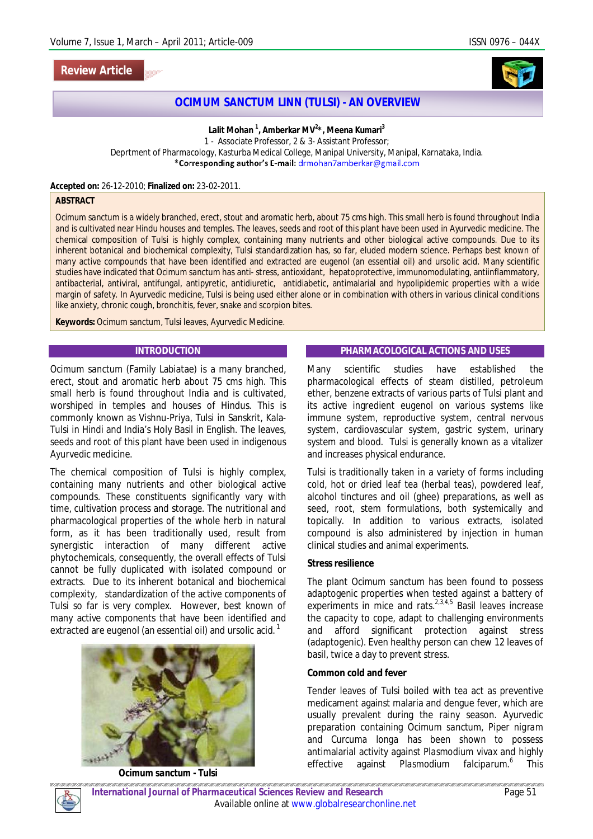# **Review Article**



# **OCIMUM SANCTUM LINN (TULSI) - AN OVERVIEW**

**Lalit Mohan <sup>1</sup> , Amberkar MV<sup>2</sup> \*, Meena Kumari<sup>3</sup>** 1 - Associate Professor, 2 & 3- Assistant Professor; Deprtment of Pharmacology, Kasturba Medical College, Manipal University, Manipal, Karnataka, India.<br>\*Corresponding author's E-mail: drmohan7amberkar@gmail.com

#### **Accepted on:** 26-12-2010; **Finalized on:** 23-02-2011.

### **ABSTRACT**

*Ocimum sanctum* is a widely branched, erect, stout and aromatic herb, about 75 cms high. This small herb is found throughout India and is cultivated near Hindu houses and temples. The leaves, seeds and root of this plant have been used in Ayurvedic medicine. The chemical composition of Tulsi is highly complex, containing many nutrients and other biological active compounds. Due to its inherent botanical and biochemical complexity, Tulsi standardization has, so far, eluded modern science. Perhaps best known of many active compounds that have been identified and extracted are eugenol (an essential oil) and ursolic acid. Many scientific studies have indicated that *Ocimum sanctum* has anti- stress, antioxidant, hepatoprotective, immunomodulating, antiinflammatory, antibacterial, antiviral, antifungal, antipyretic, antidiuretic, antidiabetic, antimalarial and hypolipidemic properties with a wide margin of safety. In Ayurvedic medicine, Tulsi is being used either alone or in combination with others in various clinical conditions like anxiety, chronic cough, bronchitis, fever, snake and scorpion bites.

**Keywords:** *Ocimum sanctum,* Tulsi leaves, Ayurvedic Medicine.

### **INTRODUCTION**

*Ocimum sanctum* (Family Labiatae) is a many branched, erect, stout and aromatic herb about 75 cms high. This small herb is found throughout India and is cultivated, worshiped in temples and houses of Hindus. This is commonly known as Vishnu-Priya, Tulsi in Sanskrit, Kala-Tulsi in Hindi and India's Holy Basil in English. The leaves, seeds and root of this plant have been used in indigenous Ayurvedic medicine.

The chemical composition of Tulsi is highly complex, containing many nutrients and other biological active compounds. These constituents significantly vary with time, cultivation process and storage. The nutritional and pharmacological properties of the whole herb in natural form, as it has been traditionally used, result from synergistic interaction of many different active phytochemicals, consequently, the overall effects of Tulsi cannot be fully duplicated with isolated compound or extracts. Due to its inherent botanical and biochemical complexity, standardization of the active components of Tulsi so far is very complex. However, best known of many active components that have been identified and extracted are eugenol (an essential oil) and ursolic acid.  $^1$ 



*Ocimum sanctum* **- Tulsi**

## **PHARMACOLOGICAL ACTIONS AND USES**

Many scientific studies have established the pharmacological effects of steam distilled, petroleum ether, benzene extracts of various parts of Tulsi plant and its active ingredient eugenol on various systems like immune system, reproductive system, central nervous system, cardiovascular system, gastric system, urinary system and blood. Tulsi is generally known as a vitalizer and increases physical endurance.

Tulsi is traditionally taken in a variety of forms including cold, hot or dried leaf tea (herbal teas), powdered leaf, alcohol tinctures and oil (ghee) preparations, as well as seed, root, stem formulations, both systemically and topically. In addition to various extracts, isolated compound is also administered by injection in human clinical studies and animal experiments.

## **Stress resilience**

The plant *Ocimum sanctum* has been found to possess adaptogenic properties when tested against a battery of experiments in mice and rats. $2,3,4,5$  Basil leaves increase the capacity to cope, adapt to challenging environments and afford significant protection against stress (adaptogenic). Even healthy person can chew 12 leaves of basil, twice a day to prevent stress.

#### **Common cold and fever**

Tender leaves of Tulsi boiled with tea act as preventive medicament against malaria and dengue fever, which are usually prevalent during the rainy season. Ayurvedic preparation containing *Ocimum sanctum, Piper nigram*  and *Curcuma longa* has been shown to possess antimalarial activity against *Plasmodium vivax* and highly effective against *Plasmodium 6* This

ari ari.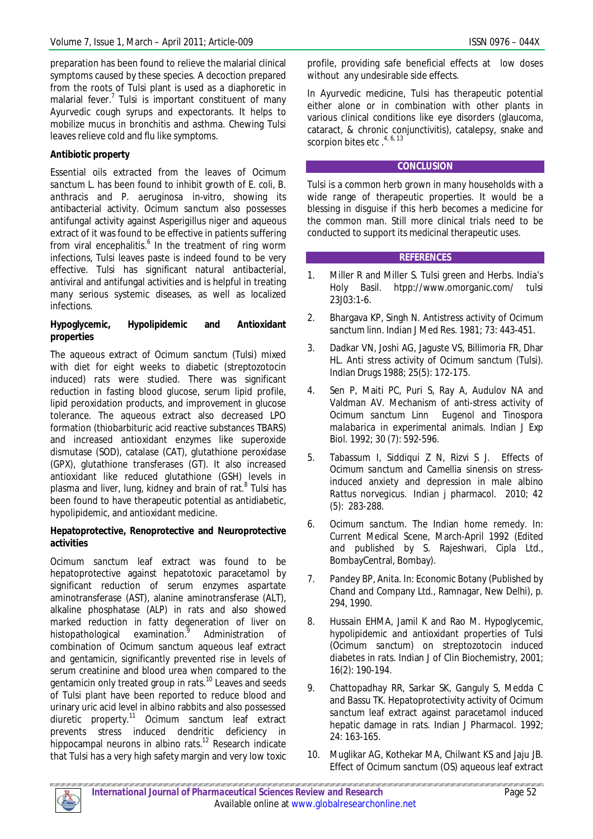preparation has been found to relieve the malarial clinical symptoms caused by these species. A decoction prepared from the roots of Tulsi plant is used as a diaphoretic in malarial fever.<sup>7</sup> Tulsi is important constituent of many Ayurvedic cough syrups and expectorants. It helps to mobilize mucus in bronchitis and asthma. Chewing Tulsi leaves relieve cold and flu like symptoms.

# **Antibiotic property**

Essential oils extracted from the leaves of *Ocimum sanctum L.* has been found to inhibit growth of *E. coli, B. anthracis* and *P. aeruginosa* in-vitro, showing its antibacterial activity. *Ocimum sanctum* also possesses antifungal activity against *Asperigillus niger* and aqueous extract of it was found to be effective in patients suffering from viral encephalitis.<sup>6</sup> In the treatment of ring worm infections, Tulsi leaves paste is indeed found to be very effective. Tulsi has significant natural antibacterial, antiviral and antifungal activities and is helpful in treating many serious systemic diseases, as well as localized infections.

## **Hypoglycemic, Hypolipidemic and Antioxidant properties**

The aqueous extract of *Ocimum sanctum* (Tulsi) mixed with diet for eight weeks to diabetic (streptozotocin induced) rats were studied. There was significant reduction in fasting blood glucose, serum lipid profile, lipid peroxidation products, and improvement in glucose tolerance. The aqueous extract also decreased LPO formation (thiobarbituric acid reactive substances TBARS) and increased antioxidant enzymes like superoxide dismutase (SOD), catalase (CAT), glutathione peroxidase (GPX), glutathione transferases (GT). It also increased antioxidant like reduced glutathione (GSH) levels in plasma and liver, lung, kidney and brain of rat.<sup>8</sup> Tulsi has been found to have therapeutic potential as antidiabetic, hypolipidemic, and antioxidant medicine.

## **Hepatoprotective, Renoprotective and Neuroprotective activities**

*Ocimum sanctum* leaf extract was found to be hepatoprotective against hepatotoxic paracetamol by significant reduction of serum enzymes aspartate aminotransferase (AST), alanine aminotransferase (ALT), alkaline phosphatase (ALP) in rats and also showed marked reduction in fatty degeneration of liver on histopathological examination.<sup>9</sup> Administration of combination of *Ocimum sanctum* aqueous leaf extract and gentamicin, significantly prevented rise in levels of serum creatinine and blood urea when compared to the gentamicin only treated group in rats.<sup>10</sup> Leaves and seeds of Tulsi plant have been reported to reduce blood and urinary uric acid level in albino rabbits and also possessed diuretic property.<sup>11</sup> *Ocimum sanctum* leaf extract prevents stress induced dendritic deficiency in hippocampal neurons in albino rats.<sup>12</sup> Research indicate that Tulsi has a very high safety margin and very low toxic

profile, providing safe beneficial effects at low doses without any undesirable side effects.

In Ayurvedic medicine, Tulsi has therapeutic potential either alone or in combination with other plants in various clinical conditions like eye disorders (glaucoma, cataract, & chronic conjunctivitis), catalepsy, snake and scorpion bites etc  $.^{4,6,13}$ 

# **CONCLUSION**

Tulsi is a common herb grown in many households with a wide range of therapeutic properties. It would be a blessing in disguise if this herb becomes a medicine for the common man. Still more clinical trials need to be conducted to support its medicinal therapeutic uses.

# **REFERENCES**

- 1. Miller R and Miller S. Tulsi green and Herbs. India's Holy Basil. htpp://www.omorganic.com/ tulsi 23J03:1-6.
- 2. Bhargava KP, Singh N. Antistress activity of *Ocimum sanctum linn*. Indian J Med Res. 1981; 73: 443-451.
- 3. Dadkar VN, Joshi AG, Jaguste VS, Billimoria FR, Dhar HL. Anti stress activity of *Ocimum sanctum* (Tulsi). Indian Drugs 1988; 25(5): 172-175.
- 4. Sen P, Maiti PC, Puri S, Ray A, Audulov NA and Valdman AV. Mechanism of anti-stress activity of *Ocimum sanctum Linn Eugenol* and *Tinospora malabarica* in experimental animals. Indian J Exp Biol. 1992; 30 (7): 592-596.
- 5. Tabassum I, Siddiqui Z N, Rizvi S J. Effects of *Ocimum sanctum* and *Camellia sinensis* on stressinduced anxiety and depression in male albino *Rattus norvegicus*. Indian j pharmacol. 2010; 42 (5): 283-288.
- 6. *Ocimum sanctum.* The Indian home remedy. In: Current Medical Scene, March-April 1992 (Edited and published by S. Rajeshwari, Cipla Ltd., BombayCentral, Bombay).
- 7. Pandey BP, Anita. In: Economic Botany (Published by Chand and Company Ltd., Ramnagar, New Delhi), p. 294, 1990.
- 8. Hussain EHMA, Jamil K and Rao M. Hypoglycemic, hypolipidemic and antioxidant properties of Tulsi (*Ocimum sanctum*) on streptozotocin induced diabetes in rats. Indian J of Clin Biochemistry*,* 2001; 16(2): 190-194.
- 9. Chattopadhay RR, Sarkar SK, Ganguly S, Medda C and Bassu TK. Hepatoprotectivity activity of *Ocimum sanctum* leaf extract against paracetamol induced hepatic damage in rats. Indian J Pharmacol. 1992; 24: 163-165.
- 10. Muglikar AG, Kothekar MA, Chilwant KS and Jaju JB. Effect of *Ocimum sanctum* (OS) aqueous leaf extract